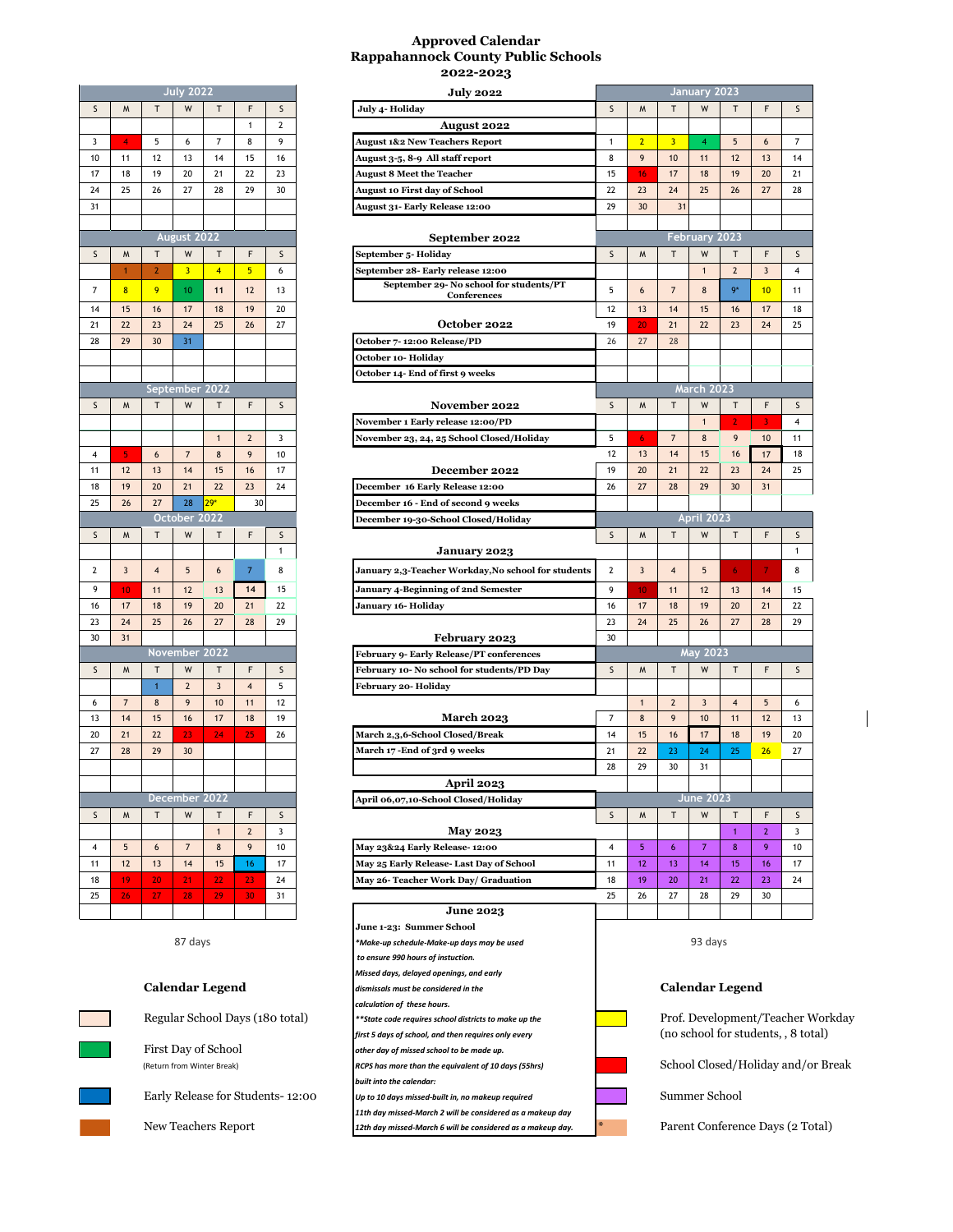## **Approved Calendar Rappahannock County Public Schools 2022-2023**

| <b>July 2022</b>                                                          |          |          |                | <b>July 2022</b>     |                |                |          |
|---------------------------------------------------------------------------|----------|----------|----------------|----------------------|----------------|----------------|----------|
| July 4- Holiday                                                           | S        | F        | T              | W                    | т              | M              | S        |
| August 2022                                                               | 2        | 1        |                |                      |                |                |          |
| <b>August 1&amp;2 New Teachers Report</b>                                 | 9        | 8        | 7              | 6                    | 5              | 4              | 3        |
| August 3-5, 8-9 All staff report                                          | 16       | 15       | 14             | 13                   | 12             | 11             | 10       |
| <b>August 8 Meet the Teacher</b>                                          | 23       | 22       | 21             | 20                   | 19             | 18             | 17       |
| <b>August 10 First day of School</b>                                      | 30       | 29       | 28             | 27                   | 26             | 25             | 24       |
| August 31- Early Release 12:00                                            |          |          |                |                      |                |                | 31       |
|                                                                           |          |          |                |                      |                |                |          |
| September 2022                                                            |          |          |                | August 2022          |                |                |          |
| September 5- Holiday                                                      | s        | F        | т              | W                    | T              | M              | S        |
| September 28- Early release 12:00<br>September 29- No school for st       | 6        | 5        | $\overline{4}$ | 3                    | $\overline{2}$ | 1              |          |
| Conferences                                                               | 13       | 12       | 11             | 10                   | 9              | 8              | 7        |
|                                                                           | 20       | 19       | 18             | 17                   | 16             | 15             | 14       |
| October 2022                                                              | 27       | 26       | 25             | 24                   | 23             | 22             | 21       |
| October 7-12:00 Release/PD                                                |          |          |                | 31                   | 30             | 29             | 28       |
| October 10- Holiday                                                       |          |          |                |                      |                |                |          |
| October 14- End of first 9 weeks                                          |          |          |                |                      |                |                |          |
|                                                                           |          |          |                | September 2022       |                |                |          |
| <b>November 2022</b>                                                      | S        | F        | т              | W                    | т              | M              | S        |
| November 1 Early release 12:00/PD                                         |          |          |                |                      |                |                |          |
| November 23, 24, 25 School Closed/F                                       | 3        | 2        | 1              |                      |                |                |          |
|                                                                           | 10       | 9        | 8              | $\overline{7}$       | 6              | 5              | 4        |
| December 2022                                                             | 17       | 16<br>23 | 15             | 14                   | 13             | 12             | 11       |
| December 16 Early Release 12:00                                           | 24       |          | 22<br>$29*$    | 21<br>28             | 20<br>27       | 19<br>26       | 18<br>25 |
| December 16 - End of second 9 weeks<br>December 19-30-School Closed/Holid |          | 30       |                | October 2022         |                |                |          |
|                                                                           | S        | F        | т              | W                    | т              | M              | S        |
| <b>January 2023</b>                                                       | 1        |          |                |                      |                |                |          |
| January 2,3-Teacher Workday,No scl                                        | 8        | 7        | 6              | 5                    | 4              | 3              | 2        |
|                                                                           |          |          |                |                      |                |                |          |
| January 4-Beginning of 2nd Semester                                       | 15       | 14       | 13             | 12                   | 11             | 10             | 9        |
| January 16- Holiday                                                       | 22       |          |                |                      |                |                |          |
|                                                                           |          | 21       | 20             | 19                   | 18             | 17             | 16       |
|                                                                           | 29       | 28       | 27             | 26                   | 25             | 24             | 23       |
| <b>February 2023</b>                                                      |          |          |                |                      |                | 31             | 30       |
| February 9- Early Release/PT confere                                      |          |          |                | <b>November 2022</b> |                |                |          |
| February 10- No school for students/                                      | S        | F        | т              | W                    | т              | M              | S        |
| February 20- Holiday                                                      | 5        | 4        | 3              | $\overline{2}$       | $\mathbf{1}$   |                |          |
|                                                                           | 12       | 11       | 10             | 9                    | 8              | $\overline{7}$ | 6        |
| <b>March 2023</b>                                                         | 19<br>26 | 18       | 17             | 16                   | 15<br>22       | 14             | 13       |
| March 2,3,6-School Closed/Break<br>March 17 - End of 3rd 9 weeks          |          | 25       | 24             | 23<br>30             | 29             | 21<br>28       | 20<br>27 |
|                                                                           |          |          |                |                      |                |                |          |
|                                                                           |          |          |                |                      |                |                |          |
| <b>April 2023</b>                                                         |          |          |                | December 2022        |                |                |          |
|                                                                           | S        | F        | Т              | W                    | Т              | M              | S        |
| April 06,07,10-School Closed/Holida<br><b>May 2023</b>                    | 3        | 2        | 1              |                      |                |                |          |
| May 23&24 Early Release- 12:00                                            | 10       | 9        | 8              | $\overline{7}$       | 6              | 5              | 4        |
| May 25 Early Release- Last Day of Scl                                     | 17       | 16       | 15             | 14                   | 13             | 12             | 11       |
| May 26- Teacher Work Day/ Graduati                                        | 24       | 23       | 22             | 21                   | 20             | 19             | 18       |
|                                                                           | 31       | 30       | 29             | 28                   | 27             | 26             | 25       |



## **Calendar Legend** *dismissals must be considered in the* **Calendar Legend**



New Teachers Report **12th day missed-March 6 will be considered as a makeup day.** Parent Conference Days (2 Total)

|                                                                                    |                                                                  |                |                         |                         |                                  |                | 2022-2023                                                  |                |                        |                         |                                    |                |                |                                     |
|------------------------------------------------------------------------------------|------------------------------------------------------------------|----------------|-------------------------|-------------------------|----------------------------------|----------------|------------------------------------------------------------|----------------|------------------------|-------------------------|------------------------------------|----------------|----------------|-------------------------------------|
|                                                                                    |                                                                  |                | <b>July 2022</b>        |                         |                                  |                | <b>July 2022</b>                                           |                |                        |                         | January 2023                       |                |                |                                     |
| $\sf S$                                                                            | M                                                                | T              | W                       | T                       | F                                | S              | July 4- Holiday                                            | S              | M                      | T                       | W                                  | T              | F              | $\mathsf{S}$                        |
|                                                                                    |                                                                  |                |                         |                         | $\mathbf{1}$                     | $\overline{2}$ | <b>August 2022</b>                                         |                |                        |                         |                                    |                |                |                                     |
| 3                                                                                  | $\overline{4}$                                                   | 5              | 6                       | $\overline{7}$          | 8                                | 9              | <b>August 1&amp;2 New Teachers Report</b>                  | $\mathbf{1}$   | $\overline{2}$         | $\overline{\mathbf{3}}$ | 4                                  | 5              | 6              | $\overline{7}$                      |
|                                                                                    |                                                                  |                |                         |                         |                                  |                |                                                            |                | 9                      |                         |                                    |                |                |                                     |
| 10                                                                                 | 11                                                               | 12             | 13                      | 14                      | 15                               | 16             | August 3-5, 8-9 All staff report                           | 8              |                        | 10                      | 11                                 | 12             | 13             | 14                                  |
| 17                                                                                 | 18                                                               | 19             | 20                      | 21                      | 22                               | 23             | <b>August 8 Meet the Teacher</b>                           | 15             | 16                     | 17                      | 18                                 | 19             | 20             | 21                                  |
| 24                                                                                 | 25                                                               | 26             | 27                      | 28                      | 29                               | 30             | <b>August 10 First day of School</b>                       | 22             | 23                     | 24                      | 25                                 | 26             | 27             | 28                                  |
| 31                                                                                 |                                                                  |                |                         |                         |                                  |                | August 31- Early Release 12:00                             | 29             | 30                     | 31                      |                                    |                |                |                                     |
|                                                                                    |                                                                  |                |                         |                         |                                  |                |                                                            |                |                        |                         |                                    |                |                |                                     |
|                                                                                    |                                                                  |                | August 2022             |                         |                                  |                | September 2022                                             |                |                        |                         | February 2023                      |                |                |                                     |
|                                                                                    |                                                                  |                |                         |                         |                                  |                |                                                            |                |                        |                         |                                    |                |                |                                     |
| S                                                                                  | M                                                                | T              | W                       | Τ                       | F                                | S              | September 5-Holiday                                        | S              | M                      | T                       | W                                  | т              | F              | S                                   |
|                                                                                    | $\mathbf{1}$                                                     | $\overline{2}$ | $\overline{\mathbf{3}}$ | $\overline{4}$          | 5 <sub>5</sub>                   | 6              | September 28- Early release 12:00                          |                |                        |                         | $\mathbf{1}$                       | $\overline{2}$ | $\overline{3}$ | $\overline{\mathbf{4}}$             |
| $\overline{7}$                                                                     | 8                                                                | 9              | 10                      | 11                      | 12                               | 13             | September 29- No school for students/PT<br>Conferences     | 5              | 6                      | $\overline{7}$          | 8                                  | $9*$           | 10             | 11                                  |
| 14                                                                                 | 15                                                               | 16             | 17                      | 18                      | 19                               | 20             |                                                            | 12             | 13                     | 14                      | 15                                 | 16             | 17             | 18                                  |
|                                                                                    |                                                                  |                |                         |                         |                                  |                |                                                            |                |                        |                         |                                    |                |                |                                     |
| 21                                                                                 | 22                                                               | 23             | 24                      | 25                      | 26                               | 27             | October 2022                                               | 19             | 20                     | 21                      | 22                                 | 23             | 24             | 25                                  |
| 28                                                                                 | 29                                                               | 30             | 31                      |                         |                                  |                | October 7-12:00 Release/PD                                 | 26             | 27                     | 28                      |                                    |                |                |                                     |
|                                                                                    |                                                                  |                |                         |                         |                                  |                | October 10- Holiday                                        |                |                        |                         |                                    |                |                |                                     |
|                                                                                    |                                                                  |                |                         |                         |                                  |                | October 14- End of first 9 weeks                           |                |                        |                         |                                    |                |                |                                     |
|                                                                                    |                                                                  |                | September 2022          |                         |                                  |                |                                                            |                |                        |                         | <b>March 2023</b>                  |                |                |                                     |
| S                                                                                  | M                                                                | Т              | W                       | T                       | F                                | S              | November 2022                                              | S              | M                      | T                       | W                                  | $\mathsf{T}$   | F              | S                                   |
|                                                                                    |                                                                  |                |                         |                         |                                  |                |                                                            |                |                        |                         |                                    |                |                |                                     |
|                                                                                    |                                                                  |                |                         |                         |                                  |                | <b>November 1 Early release 12:00/PD</b>                   |                |                        |                         | $\mathbf{1}$                       | $\overline{2}$ | 3              | 4                                   |
|                                                                                    |                                                                  |                |                         | $\mathbf{1}$            | $\overline{2}$                   | 3              | November 23, 24, 25 School Closed/Holiday                  | 5              | 6                      | $\overline{7}$          | 8                                  | 9              | 10             | 11                                  |
| 4                                                                                  | 5                                                                | 6              | $7\overline{ }$         | 8                       | 9                                | 10             |                                                            | 12             | 13                     | 14                      | 15                                 | 16             | 17             | 18                                  |
| 11                                                                                 | 12                                                               | 13             | 14                      | 15                      | 16                               | 17             | December 2022                                              | 19             | 20                     | 21                      | 22                                 | 23             | 24             | 25                                  |
| 18                                                                                 | 19                                                               | 20             | 21                      | 22                      | 23                               | 24             | December 16 Early Release 12:00                            | 26             | 27                     | 28                      | 29                                 | 30             | 31             |                                     |
|                                                                                    |                                                                  |                |                         |                         |                                  |                |                                                            |                |                        |                         |                                    |                |                |                                     |
| 25                                                                                 | 26                                                               | 27             | 28                      | $29*$                   | 30                               |                | December 16 - End of second 9 weeks                        |                |                        |                         |                                    |                |                |                                     |
|                                                                                    |                                                                  |                | October 2022            |                         |                                  |                | December 19-30-School Closed/Holiday                       |                |                        |                         | April 2023                         |                |                |                                     |
| S                                                                                  | M                                                                | Т              | W                       | Т                       | F                                | S              |                                                            | S              | M                      | Т                       | W                                  | т              | F              | S                                   |
|                                                                                    |                                                                  |                |                         |                         |                                  | $\mathbf{1}$   | <b>January 2023</b>                                        |                |                        |                         |                                    |                |                | $\mathbf{1}$                        |
|                                                                                    |                                                                  |                |                         |                         | $\overline{7}$                   |                |                                                            |                |                        |                         |                                    |                | 7              |                                     |
| $\mathbf{2}$                                                                       | $\overline{\mathbf{3}}$                                          | 4              | 5                       | 6                       |                                  | 8              | January 2,3-Teacher Workday, No school for students        | $\overline{2}$ | 3                      | $\overline{4}$          | 5                                  | 6              |                | 8                                   |
| 9                                                                                  | 10                                                               | 11             | 12                      | 13                      | 14                               | 15             | January 4-Beginning of 2nd Semester                        | 9              | 10                     | 11                      | 12                                 | 13             | 14             | 15                                  |
| 16                                                                                 | 17                                                               | 18             | 19                      | 20                      | 21                               | 22             | January 16- Holiday                                        | 16             | 17                     | 18                      | 19                                 | 20             | 21             | 22                                  |
| 23                                                                                 | 24                                                               | 25             | 26                      | 27                      | 28                               | 29             |                                                            | 23             | 24                     | 25                      | 26                                 | 27             | 28             | 29                                  |
|                                                                                    | 31                                                               |                |                         |                         |                                  |                |                                                            | 30             |                        |                         |                                    |                |                |                                     |
| 30                                                                                 |                                                                  |                |                         |                         |                                  |                | February 2023                                              |                |                        |                         |                                    |                |                |                                     |
|                                                                                    |                                                                  |                | November 2022           |                         |                                  |                | February 9- Early Release/PT conferences                   |                |                        |                         | May 2023                           |                |                |                                     |
| $\sf S$                                                                            | $\mathsf{M}$                                                     | $\mathsf{T}$   | W                       | T                       | F                                | S              | February 10- No school for students/PD Day                 | S              | M                      | T                       | W                                  | T              | F              | S                                   |
|                                                                                    |                                                                  | $\vert$ 1      | $\overline{2}$          | $\overline{\mathbf{3}}$ | $\overline{\mathbf{4}}$          | 5              | February 20- Holiday                                       |                |                        |                         |                                    |                |                |                                     |
| 6                                                                                  | $\overline{7}$                                                   | 8              | 9                       | 10                      | 11                               | 12             |                                                            |                | $\overline{1}$         | $\overline{2}$          | 3                                  | $\overline{4}$ | 5              | 6                                   |
| 13                                                                                 | 14                                                               | 15             | 16                      | 17                      | 18                               | 19             | <b>March 2023</b>                                          | $\overline{7}$ | 8                      | 9                       | 10                                 | 11             | 12             | 13                                  |
|                                                                                    |                                                                  |                |                         |                         |                                  |                |                                                            |                |                        |                         |                                    |                |                |                                     |
| 20                                                                                 | 21                                                               | 22             | 23                      | 24                      | 25                               | 26             | March 2,3,6-School Closed/Break                            | 14             | 15                     | 16                      | 17                                 | 18             | 19             | 20                                  |
| 27                                                                                 | 28                                                               | 29             | 30                      |                         |                                  |                | March 17 -End of 3rd 9 weeks                               | 21             | 22                     | 23                      | 24                                 | 25             | 26             | 27                                  |
|                                                                                    |                                                                  |                |                         |                         |                                  |                |                                                            | 28             | 29                     | 30                      | 31                                 |                |                |                                     |
|                                                                                    |                                                                  |                |                         |                         |                                  |                | April 2023                                                 |                |                        |                         |                                    |                |                |                                     |
|                                                                                    |                                                                  |                | December 2022           |                         |                                  |                | April 06,07,10-School Closed/Holiday                       |                |                        |                         | <b>June 2023</b>                   |                |                |                                     |
| $\mathsf S$                                                                        | M                                                                | $\mathsf{T}$   | W                       | T                       | F                                | S              |                                                            | $\sf S$        | M                      | $\mathsf{T}$            | W                                  | T              | F              | S                                   |
|                                                                                    |                                                                  |                |                         |                         |                                  |                |                                                            |                |                        |                         |                                    | $\overline{1}$ |                | 3                                   |
|                                                                                    |                                                                  |                |                         | $\mathbf{1}$            | $\overline{2}$                   | 3              | <b>May 2023</b>                                            |                |                        |                         |                                    |                | $\mathbf{2}$   |                                     |
| $\overline{\mathbf{4}}$                                                            | 5                                                                | 6              | $\overline{7}$          | 8                       | 9                                | 10             | May 23&24 Early Release- 12:00                             | $\overline{4}$ | 5                      | 6                       | $\overline{7}$                     | $\bf8$         | 9              | 10                                  |
| 11                                                                                 | 12                                                               | 13             | 14                      | 15                      | 16                               | 17             | May 25 Early Release- Last Day of School                   | 11             | 12                     | 13                      | 14                                 | 15             | 16             | 17                                  |
| 18                                                                                 | 19                                                               | 20             | 21                      | 22                      | 23                               | 24             | May 26- Teacher Work Day/ Graduation                       | 18             | 19                     | 20                      | 21                                 | 22             | 23             | 24                                  |
| 25                                                                                 | 26                                                               | 27             | 28                      | 29                      | 30                               | 31             |                                                            | 25             | 26                     | 27                      | 28                                 | 29             | 30             |                                     |
|                                                                                    |                                                                  |                |                         |                         |                                  |                | <b>June 2023</b>                                           |                |                        |                         |                                    |                |                |                                     |
|                                                                                    |                                                                  |                |                         |                         |                                  |                | June 1-23: Summer School                                   |                |                        |                         |                                    |                |                |                                     |
|                                                                                    |                                                                  |                |                         |                         |                                  |                |                                                            |                |                        |                         |                                    |                |                |                                     |
|                                                                                    | 87 days<br>*Make-up schedule-Make-up days may be used            |                |                         |                         |                                  |                | 93 days                                                    |                |                        |                         |                                    |                |                |                                     |
|                                                                                    |                                                                  |                |                         |                         |                                  |                | to ensure 990 hours of instuction.                         |                |                        |                         |                                    |                |                |                                     |
|                                                                                    |                                                                  |                |                         |                         |                                  |                | Missed days, delayed openings, and early                   |                |                        |                         |                                    |                |                |                                     |
|                                                                                    | <b>Calendar Legend</b><br>dismissals must be considered in the   |                |                         |                         |                                  |                |                                                            |                | <b>Calendar Legend</b> |                         |                                    |                |                |                                     |
|                                                                                    |                                                                  |                |                         |                         |                                  |                | calculation of these hours.                                |                |                        |                         |                                    |                |                |                                     |
|                                                                                    |                                                                  |                |                         |                         | Regular School Days (180 total)  |                | **State code requires school districts to make up the      |                |                        |                         |                                    |                |                | Prof. Development/Teacher Workday   |
|                                                                                    |                                                                  |                |                         |                         |                                  |                |                                                            |                |                        |                         |                                    |                |                | (no school for students, , 8 total) |
|                                                                                    |                                                                  |                |                         |                         |                                  |                | first 5 days of school, and then requires only every       |                |                        |                         |                                    |                |                |                                     |
|                                                                                    | First Day of School<br>other day of missed school to be made up. |                |                         |                         |                                  |                |                                                            |                |                        |                         |                                    |                |                |                                     |
| (Return from Winter Break)<br>RCPS has more than the equivalent of 10 days (55hrs) |                                                                  |                |                         |                         |                                  |                |                                                            |                |                        |                         | School Closed/Holiday and/or Break |                |                |                                     |
| built into the calendar:                                                           |                                                                  |                |                         |                         |                                  |                |                                                            |                |                        |                         |                                    |                |                |                                     |
|                                                                                    |                                                                  |                |                         |                         | Early Release for Students-12:00 |                | Up to 10 days missed-built in, no makeup required          |                |                        |                         | Summer School                      |                |                |                                     |
|                                                                                    |                                                                  |                |                         |                         |                                  |                | 11th day missed-March 2 will be considered as a makeup day |                |                        |                         |                                    |                |                |                                     |
|                                                                                    |                                                                  |                |                         |                         |                                  |                |                                                            |                |                        |                         |                                    |                |                |                                     |